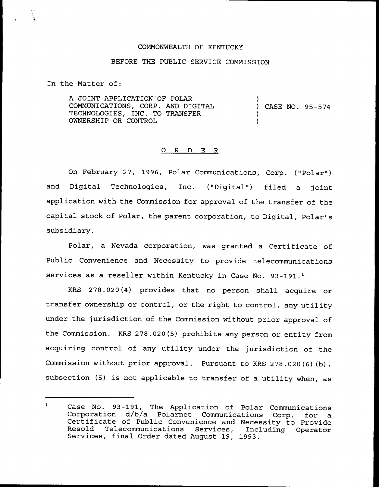## COMMONWEALTH OF KENTUCKY

## BEFORE THE PUBLIC SERVICE COMMISSION

In the Matter of:

A JOINT APPLICATION OF POLAR COMMUNICATIONS, CORP. AND DIGITAL TECHNOLOGIES, INC. TO TRANSFER OWNERSHIP OR CONTROL ) ) CASE NO. 95-574 ) )

## 0 R <sup>D</sup> E R

On February 27, 1996, Polar Communications, Corp. ("Polar" ) and Digital Technologies, Inc. ("Digital") filed a joint application with the Commission for approval of the transfer of the capital stock of Polar, the parent corporation, to Digital, Polar's subsidiary.

Polar, a Nevada corporation, was granted a Certificate of Public Convenience and Necessity to provide telecommunications services as a reseller within Kentucky in Case No. 93-191.<sup>1</sup>

KRS  $278.020(4)$  provides that no person shall acquire or transfer ownership or control, or the right to control, any utility under the jurisdiction of the Commission without prior approval of the Commission. KRS 278.020(5) prohibits any person or entity from acquiring control of any utility under the jurisdiction of the Commission without prior approval. Pursuant to KRS 278.020(6)(b), subsection (5) is not applicable to transfer of <sup>a</sup> utility when, as

 $\mathbf{1}$ Case No. 93-191, The Application of Polar Communications Corporation d/b/a Polarnet Communications Corp. for a Certificate of Public Convenience and Necessity to Provide Resold Telecommunications Services, Including Operator Services, final Order dated August 19, 1993.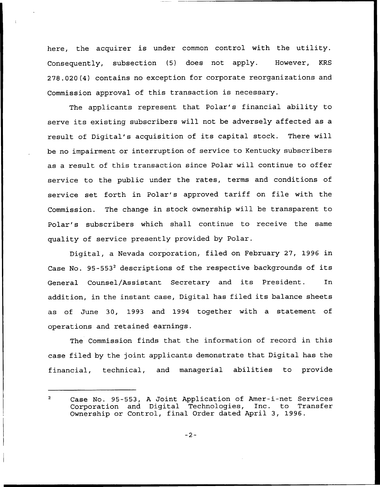here, the acquirer is under common control with the utility. Consequently, subsection (5) does not apply. However, KRS 278.020(4) contains no exception for corporate reorganizations and Commission approval of this transaction is necessary.

The applicants represent that Polar's financial ability to serve its existing subscribers will not be adversely affected as <sup>a</sup> result of Digital's acquisition of its capital stock. There will be no impairment or interruption of service to Kentucky subscribers as a result of this transaction since Polar will continue to offer service to the public under the rates, terms and conditions of service set forth in Polar's approved tariff on file with the Commission. The change in stock ownership will be transparent to Polar's subscribers which shall continue to receive the same quality of service presently provided by Polar.

Digital, a Nevada corporation, filed on February 27, 1996 in Case No.  $95-553^2$  descriptions of the respective backgrounds of its General Counsel/Assistant Secretary and its President. In addition, in the instant case, Digital has filed its balance sheets as of June 30, 1993 and 1994 together with a statement of operations and retained earnings.

The Commission finds that the information of record in this case filed by the joint applicants demonstrate that Digital has the financial, technical, and managerial abilities to provide

Case No. 95-553, <sup>A</sup> Joint Application of Amer-i-net Services  $\overline{2}$ Corporation and Digital Technologies, Inc. to Transfe Ownership or Control, final Order dated April 3, 1996.